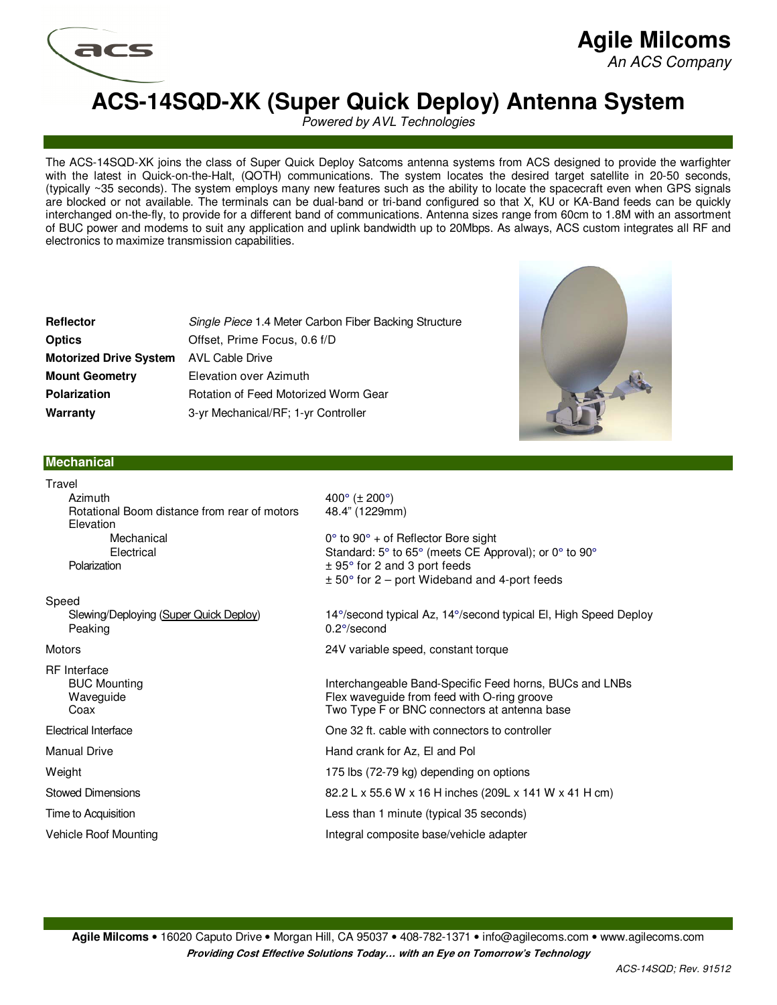

### **Agile Milcoms**  An ACS Company

## **ACS-14SQD-XK (Super Quick Deploy) Antenna System**

Powered by AVL Technologies

The ACS-14SQD-XK joins the class of Super Quick Deploy Satcoms antenna systems from ACS designed to provide the warfighter with the latest in Quick-on-the-Halt, (QOTH) communications. The system locates the desired target satellite in 20-50 seconds, (typically ~35 seconds). The system employs many new features such as the ability to locate the spacecraft even when GPS signals are blocked or not available. The terminals can be dual-band or tri-band configured so that X, KU or KA-Band feeds can be quickly interchanged on-the-fly, to provide for a different band of communications. Antenna sizes range from 60cm to 1.8M with an assortment of BUC power and modems to suit any application and uplink bandwidth up to 20Mbps. As always, ACS custom integrates all RF and electronics to maximize transmission capabilities.

| Reflector                     | Single Piece 1.4 Meter Carbon Fiber Backing Structure |
|-------------------------------|-------------------------------------------------------|
| Optics                        | Offset, Prime Focus, 0.6 f/D                          |
| <b>Motorized Drive System</b> | AVL Cable Drive                                       |
| <b>Mount Geometry</b>         | Elevation over Azimuth                                |
| Polarization                  | Rotation of Feed Motorized Worm Gear                  |
| Warranty                      | 3-yr Mechanical/RF; 1-yr Controller                   |



#### **Mechanical**

| Travel                                                               |                                                                                                                                                                                                                          |
|----------------------------------------------------------------------|--------------------------------------------------------------------------------------------------------------------------------------------------------------------------------------------------------------------------|
| Azimuth<br>Rotational Boom distance from rear of motors<br>Elevation | $400^{\circ}$ ( $\pm$ 200°)<br>48.4" (1229mm)                                                                                                                                                                            |
| Mechanical<br>Electrical<br>Polarization                             | $0^{\circ}$ to $90^{\circ}$ + of Reflector Bore sight<br>Standard: 5° to 65° (meets CE Approval); or 0° to 90°<br>$\pm$ 95 $\degree$ for 2 and 3 port feeds<br>$\pm$ 50 $\degree$ for 2 – port Wideband and 4-port feeds |
| Speed                                                                |                                                                                                                                                                                                                          |
| Slewing/Deploying (Super Quick Deploy)<br>Peaking                    | 14°/second typical Az, 14°/second typical El, High Speed Deploy<br>$0.2^{\circ}/\text{second}$                                                                                                                           |
| Motors                                                               | 24V variable speed, constant torque                                                                                                                                                                                      |
| RF Interface<br><b>BUC Mounting</b><br>Waveguide<br>Coax             | Interchangeable Band-Specific Feed horns, BUCs and LNBs<br>Flex waveguide from feed with O-ring groove<br>Two Type F or BNC connectors at antenna base                                                                   |
| Electrical Interface                                                 | One 32 ft. cable with connectors to controller                                                                                                                                                                           |
| <b>Manual Drive</b>                                                  | Hand crank for Az, El and Pol                                                                                                                                                                                            |
| Weight                                                               | 175 lbs (72-79 kg) depending on options                                                                                                                                                                                  |
| <b>Stowed Dimensions</b>                                             | 82.2 L x 55.6 W x 16 H inches (209L x 141 W x 41 H cm)                                                                                                                                                                   |
| Time to Acquisition                                                  | Less than 1 minute (typical 35 seconds)                                                                                                                                                                                  |
| Vehicle Roof Mounting                                                | Integral composite base/vehicle adapter                                                                                                                                                                                  |
|                                                                      |                                                                                                                                                                                                                          |

**Agile Milcoms** • 16020 Caputo Drive • Morgan Hill, CA 95037 • 408-782-1371 • info@agilecoms.com • www.agilecoms.com **Providing Cost Effective Solutions Today… with an Eye on Tomorrow's Technology**